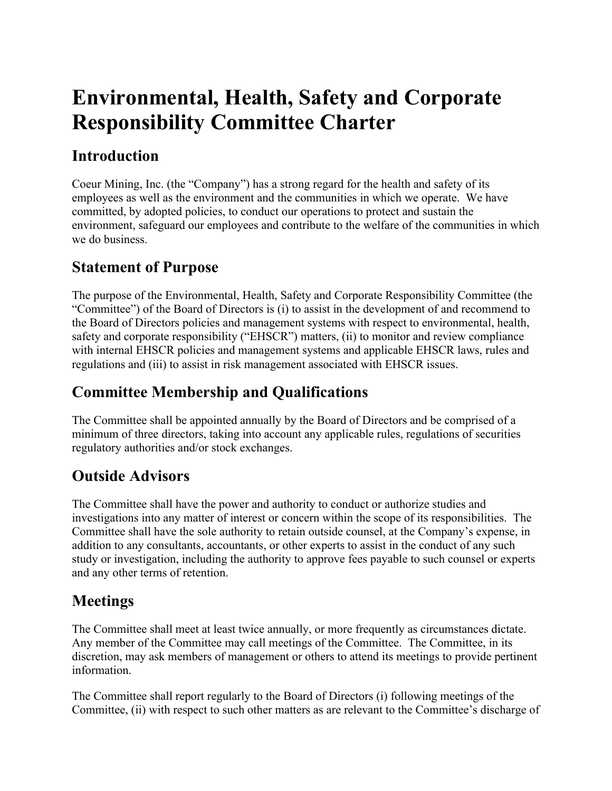# **Environmental, Health, Safety and Corporate Responsibility Committee Charter**

### **Introduction**

Coeur Mining, Inc. (the "Company") has a strong regard for the health and safety of its employees as well as the environment and the communities in which we operate. We have committed, by adopted policies, to conduct our operations to protect and sustain the environment, safeguard our employees and contribute to the welfare of the communities in which we do business.

#### **Statement of Purpose**

The purpose of the Environmental, Health, Safety and Corporate Responsibility Committee (the "Committee") of the Board of Directors is (i) to assist in the development of and recommend to the Board of Directors policies and management systems with respect to environmental, health, safety and corporate responsibility ("EHSCR") matters, (ii) to monitor and review compliance with internal EHSCR policies and management systems and applicable EHSCR laws, rules and regulations and (iii) to assist in risk management associated with EHSCR issues.

# **Committee Membership and Qualifications**

The Committee shall be appointed annually by the Board of Directors and be comprised of a minimum of three directors, taking into account any applicable rules, regulations of securities regulatory authorities and/or stock exchanges.

# **Outside Advisors**

The Committee shall have the power and authority to conduct or authorize studies and investigations into any matter of interest or concern within the scope of its responsibilities. The Committee shall have the sole authority to retain outside counsel, at the Company's expense, in addition to any consultants, accountants, or other experts to assist in the conduct of any such study or investigation, including the authority to approve fees payable to such counsel or experts and any other terms of retention.

#### **Meetings**

The Committee shall meet at least twice annually, or more frequently as circumstances dictate. Any member of the Committee may call meetings of the Committee. The Committee, in its discretion, may ask members of management or others to attend its meetings to provide pertinent information.

The Committee shall report regularly to the Board of Directors (i) following meetings of the Committee, (ii) with respect to such other matters as are relevant to the Committee's discharge of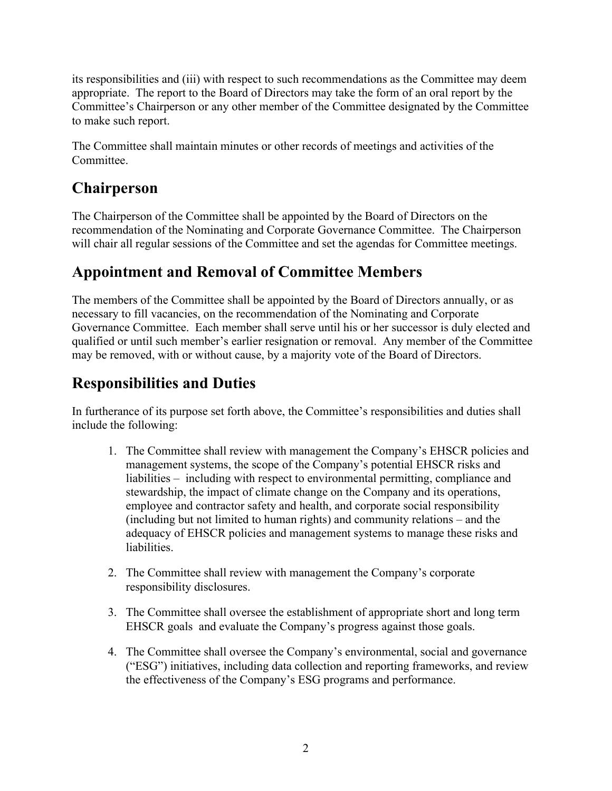its responsibilities and (iii) with respect to such recommendations as the Committee may deem appropriate. The report to the Board of Directors may take the form of an oral report by the Committee's Chairperson or any other member of the Committee designated by the Committee to make such report.

The Committee shall maintain minutes or other records of meetings and activities of the Committee.

#### **Chairperson**

The Chairperson of the Committee shall be appointed by the Board of Directors on the recommendation of the Nominating and Corporate Governance Committee. The Chairperson will chair all regular sessions of the Committee and set the agendas for Committee meetings.

#### **Appointment and Removal of Committee Members**

The members of the Committee shall be appointed by the Board of Directors annually, or as necessary to fill vacancies, on the recommendation of the Nominating and Corporate Governance Committee. Each member shall serve until his or her successor is duly elected and qualified or until such member's earlier resignation or removal. Any member of the Committee may be removed, with or without cause, by a majority vote of the Board of Directors.

#### **Responsibilities and Duties**

In furtherance of its purpose set forth above, the Committee's responsibilities and duties shall include the following:

- 1. The Committee shall review with management the Company's EHSCR policies and management systems, the scope of the Company's potential EHSCR risks and liabilities – including with respect to environmental permitting, compliance and stewardship, the impact of climate change on the Company and its operations, employee and contractor safety and health, and corporate social responsibility (including but not limited to human rights) and community relations – and the adequacy of EHSCR policies and management systems to manage these risks and liabilities.
- 2. The Committee shall review with management the Company's corporate responsibility disclosures.
- 3. The Committee shall oversee the establishment of appropriate short and long term EHSCR goals and evaluate the Company's progress against those goals.
- 4. The Committee shall oversee the Company's environmental, social and governance ("ESG") initiatives, including data collection and reporting frameworks, and review the effectiveness of the Company's ESG programs and performance.